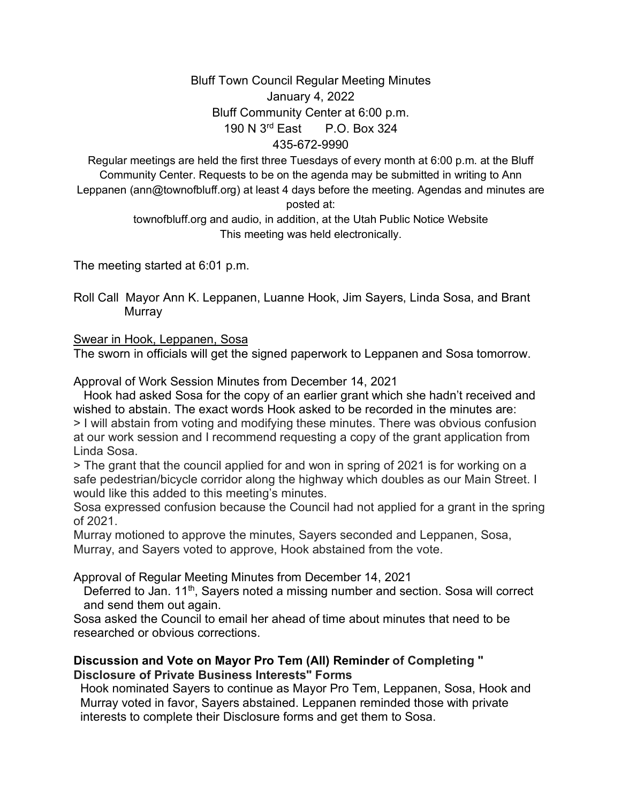## Bluff Town Council Regular Meeting Minutes January 4, 2022 Bluff Community Center at 6:00 p.m. 190 N 3rd East P.O. Box 324 435-672-9990

Regular meetings are held the first three Tuesdays of every month at 6:00 p.m. at the Bluff Community Center. Requests to be on the agenda may be submitted in writing to Ann Leppanen (ann@townofbluff.org) at least 4 days before the meeting. Agendas and minutes are posted at:

> townofbluff.org and audio, in addition, at the Utah Public Notice Website This meeting was held electronically.

The meeting started at 6:01 p.m.

Roll Call Mayor Ann K. Leppanen, Luanne Hook, Jim Sayers, Linda Sosa, and Brant **Murray** 

### Swear in Hook, Leppanen, Sosa

The sworn in officials will get the signed paperwork to Leppanen and Sosa tomorrow.

Approval of Work Session Minutes from December 14, 2021

 Hook had asked Sosa for the copy of an earlier grant which she hadn't received and wished to abstain. The exact words Hook asked to be recorded in the minutes are: > I will abstain from voting and modifying these minutes. There was obvious confusion at our work session and I recommend requesting a copy of the grant application from Linda Sosa.

> The grant that the council applied for and won in spring of 2021 is for working on a safe pedestrian/bicycle corridor along the highway which doubles as our Main Street. I would like this added to this meeting's minutes.

Sosa expressed confusion because the Council had not applied for a grant in the spring of 2021.

Murray motioned to approve the minutes, Sayers seconded and Leppanen, Sosa, Murray, and Sayers voted to approve, Hook abstained from the vote.

Approval of Regular Meeting Minutes from December 14, 2021

Deferred to Jan. 11<sup>th</sup>, Sayers noted a missing number and section. Sosa will correct and send them out again.

Sosa asked the Council to email her ahead of time about minutes that need to be researched or obvious corrections.

#### **Discussion and Vote on Mayor Pro Tem (All) Reminder of Completing " Disclosure of Private Business Interests" Forms**

 Hook nominated Sayers to continue as Mayor Pro Tem, Leppanen, Sosa, Hook and Murray voted in favor, Sayers abstained. Leppanen reminded those with private interests to complete their Disclosure forms and get them to Sosa.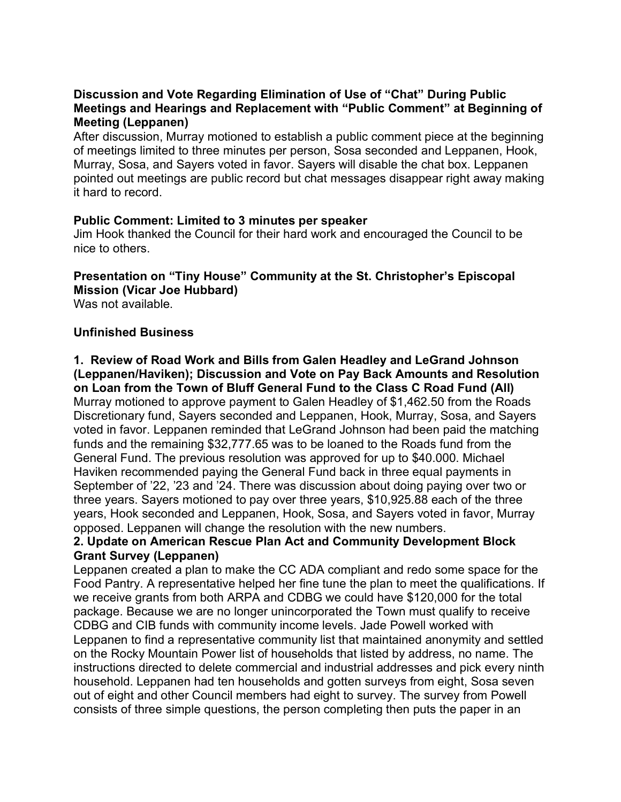### **Discussion and Vote Regarding Elimination of Use of "Chat" During Public Meetings and Hearings and Replacement with "Public Comment" at Beginning of Meeting (Leppanen)**

After discussion, Murray motioned to establish a public comment piece at the beginning of meetings limited to three minutes per person, Sosa seconded and Leppanen, Hook, Murray, Sosa, and Sayers voted in favor. Sayers will disable the chat box. Leppanen pointed out meetings are public record but chat messages disappear right away making it hard to record.

#### **Public Comment: Limited to 3 minutes per speaker**

Jim Hook thanked the Council for their hard work and encouraged the Council to be nice to others.

# **Presentation on "Tiny House" Community at the St. Christopher's Episcopal Mission (Vicar Joe Hubbard)**

Was not available.

#### **Unfinished Business**

**1. Review of Road Work and Bills from Galen Headley and LeGrand Johnson (Leppanen/Haviken); Discussion and Vote on Pay Back Amounts and Resolution on Loan from the Town of Bluff General Fund to the Class C Road Fund (All)**  Murray motioned to approve payment to Galen Headley of \$1,462.50 from the Roads Discretionary fund, Sayers seconded and Leppanen, Hook, Murray, Sosa, and Sayers voted in favor. Leppanen reminded that LeGrand Johnson had been paid the matching funds and the remaining \$32,777.65 was to be loaned to the Roads fund from the General Fund. The previous resolution was approved for up to \$40.000. Michael Haviken recommended paying the General Fund back in three equal payments in September of '22, '23 and '24. There was discussion about doing paying over two or

three years. Sayers motioned to pay over three years, \$10,925.88 each of the three years, Hook seconded and Leppanen, Hook, Sosa, and Sayers voted in favor, Murray opposed. Leppanen will change the resolution with the new numbers.

### **2. Update on American Rescue Plan Act and Community Development Block Grant Survey (Leppanen)**

Leppanen created a plan to make the CC ADA compliant and redo some space for the Food Pantry. A representative helped her fine tune the plan to meet the qualifications. If we receive grants from both ARPA and CDBG we could have \$120,000 for the total package. Because we are no longer unincorporated the Town must qualify to receive CDBG and CIB funds with community income levels. Jade Powell worked with Leppanen to find a representative community list that maintained anonymity and settled on the Rocky Mountain Power list of households that listed by address, no name. The instructions directed to delete commercial and industrial addresses and pick every ninth household. Leppanen had ten households and gotten surveys from eight, Sosa seven out of eight and other Council members had eight to survey. The survey from Powell consists of three simple questions, the person completing then puts the paper in an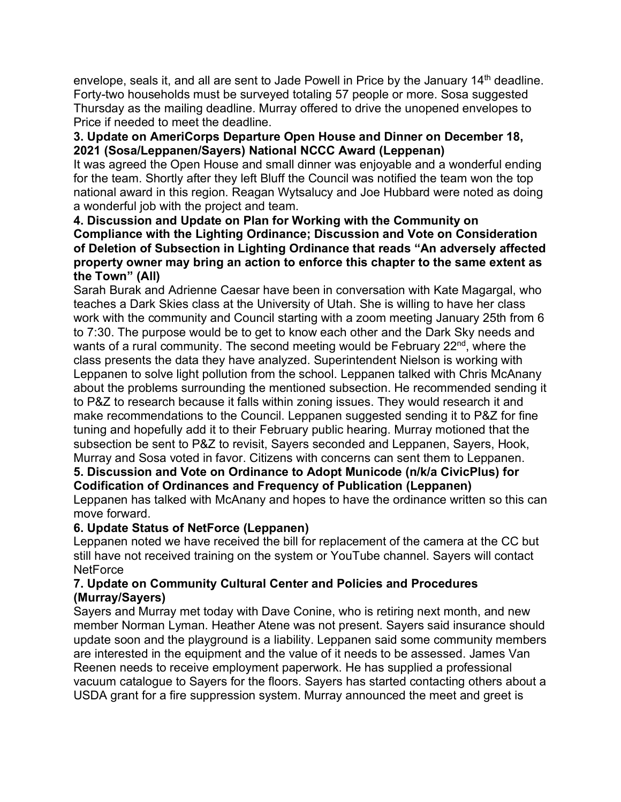envelope, seals it, and all are sent to Jade Powell in Price by the January 14<sup>th</sup> deadline. Forty-two households must be surveyed totaling 57 people or more. Sosa suggested Thursday as the mailing deadline. Murray offered to drive the unopened envelopes to Price if needed to meet the deadline.

### **3. Update on AmeriCorps Departure Open House and Dinner on December 18, 2021 (Sosa/Leppanen/Sayers) National NCCC Award (Leppenan)**

It was agreed the Open House and small dinner was enjoyable and a wonderful ending for the team. Shortly after they left Bluff the Council was notified the team won the top national award in this region. Reagan Wytsalucy and Joe Hubbard were noted as doing a wonderful job with the project and team.

### **4. Discussion and Update on Plan for Working with the Community on Compliance with the Lighting Ordinance; Discussion and Vote on Consideration of Deletion of Subsection in Lighting Ordinance that reads "An adversely affected property owner may bring an action to enforce this chapter to the same extent as the Town" (All)**

Sarah Burak and Adrienne Caesar have been in conversation with Kate Magargal, who teaches a Dark Skies class at the University of Utah. She is willing to have her class work with the community and Council starting with a zoom meeting January 25th from 6 to 7:30. The purpose would be to get to know each other and the Dark Sky needs and wants of a rural community. The second meeting would be February  $22<sup>nd</sup>$ , where the class presents the data they have analyzed. Superintendent Nielson is working with Leppanen to solve light pollution from the school. Leppanen talked with Chris McAnany about the problems surrounding the mentioned subsection. He recommended sending it to P&Z to research because it falls within zoning issues. They would research it and make recommendations to the Council. Leppanen suggested sending it to P&Z for fine tuning and hopefully add it to their February public hearing. Murray motioned that the subsection be sent to P&Z to revisit, Sayers seconded and Leppanen, Sayers, Hook, Murray and Sosa voted in favor. Citizens with concerns can sent them to Leppanen.

### **5. Discussion and Vote on Ordinance to Adopt Municode (n/k/a CivicPlus) for Codification of Ordinances and Frequency of Publication (Leppanen)**

Leppanen has talked with McAnany and hopes to have the ordinance written so this can move forward.

# **6. Update Status of NetForce (Leppanen)**

Leppanen noted we have received the bill for replacement of the camera at the CC but still have not received training on the system or YouTube channel. Sayers will contact **NetForce** 

### **7. Update on Community Cultural Center and Policies and Procedures (Murray/Sayers)**

Sayers and Murray met today with Dave Conine, who is retiring next month, and new member Norman Lyman. Heather Atene was not present. Sayers said insurance should update soon and the playground is a liability. Leppanen said some community members are interested in the equipment and the value of it needs to be assessed. James Van Reenen needs to receive employment paperwork. He has supplied a professional vacuum catalogue to Sayers for the floors. Sayers has started contacting others about a USDA grant for a fire suppression system. Murray announced the meet and greet is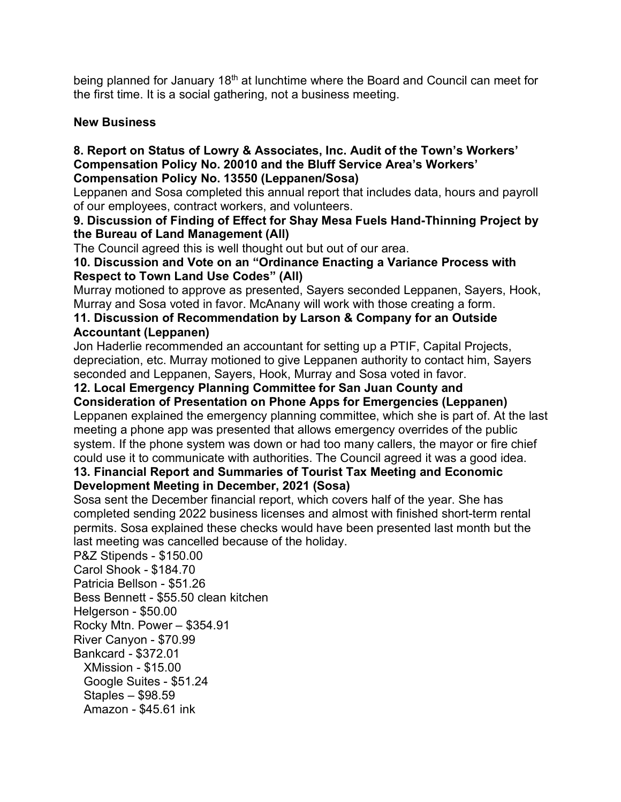being planned for January 18<sup>th</sup> at lunchtime where the Board and Council can meet for the first time. It is a social gathering, not a business meeting.

## **New Business**

#### **8. Report on Status of Lowry & Associates, Inc. Audit of the Town's Workers' Compensation Policy No. 20010 and the Bluff Service Area's Workers' Compensation Policy No. 13550 (Leppanen/Sosa)**

Leppanen and Sosa completed this annual report that includes data, hours and payroll of our employees, contract workers, and volunteers.

### **9. Discussion of Finding of Effect for Shay Mesa Fuels Hand-Thinning Project by the Bureau of Land Management (All)**

The Council agreed this is well thought out but out of our area.

# **10. Discussion and Vote on an "Ordinance Enacting a Variance Process with Respect to Town Land Use Codes" (All)**

Murray motioned to approve as presented, Sayers seconded Leppanen, Sayers, Hook, Murray and Sosa voted in favor. McAnany will work with those creating a form.

## **11. Discussion of Recommendation by Larson & Company for an Outside Accountant (Leppanen)**

Jon Haderlie recommended an accountant for setting up a PTIF, Capital Projects, depreciation, etc. Murray motioned to give Leppanen authority to contact him, Sayers seconded and Leppanen, Sayers, Hook, Murray and Sosa voted in favor.

# **12. Local Emergency Planning Committee for San Juan County and**

**Consideration of Presentation on Phone Apps for Emergencies (Leppanen)** Leppanen explained the emergency planning committee, which she is part of. At the last meeting a phone app was presented that allows emergency overrides of the public system. If the phone system was down or had too many callers, the mayor or fire chief could use it to communicate with authorities. The Council agreed it was a good idea.

### **13. Financial Report and Summaries of Tourist Tax Meeting and Economic Development Meeting in December, 2021 (Sosa)**

Sosa sent the December financial report, which covers half of the year. She has completed sending 2022 business licenses and almost with finished short-term rental permits. Sosa explained these checks would have been presented last month but the last meeting was cancelled because of the holiday.

P&Z Stipends - \$150.00 Carol Shook - \$184.70 Patricia Bellson - \$51.26 Bess Bennett - \$55.50 clean kitchen Helgerson - \$50.00 Rocky Mtn. Power – \$354.91 River Canyon - \$70.99 Bankcard - \$372.01 XMission - \$15.00 Google Suites - \$51.24 Staples – \$98.59 Amazon - \$45.61 ink